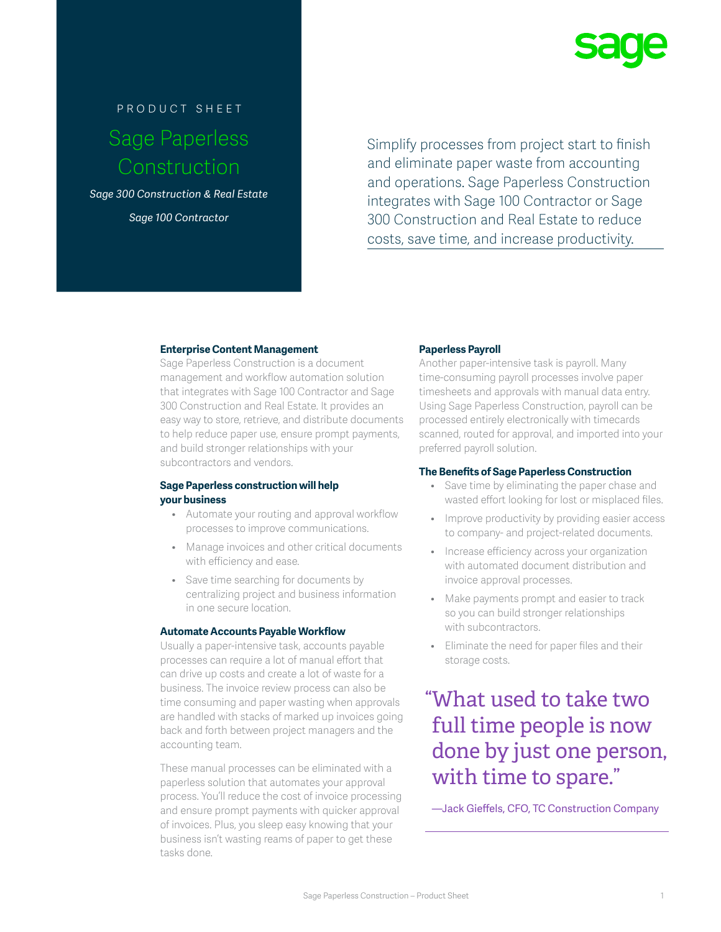

# product sheet Sage Paperless Construction

*Sage 300 Construction & Real Estate Sage 100 Contractor*

Simplify processes from project start to finish and eliminate paper waste from accounting and operations. Sage Paperless Construction integrates with Sage 100 Contractor or Sage 300 Construction and Real Estate to reduce costs, save time, and increase productivity.

## **Enterprise Content Management**

Sage Paperless Construction is a document management and workflow automation solution that integrates with Sage 100 Contractor and Sage 300 Construction and Real Estate. It provides an easy way to store, retrieve, and distribute documents to help reduce paper use, ensure prompt payments, and build stronger relationships with your subcontractors and vendors.

## **Sage Paperless construction will help your business**

- Automate your routing and approval workflow processes to improve communications.
- Manage invoices and other critical documents with efficiency and ease.
- Save time searching for documents by centralizing project and business information in one secure location.

#### **Automate Accounts Payable Workflow**

Usually a paper-intensive task, accounts payable processes can require a lot of manual effort that can drive up costs and create a lot of waste for a business. The invoice review process can also be time consuming and paper wasting when approvals are handled with stacks of marked up invoices going back and forth between project managers and the accounting team.

These manual processes can be eliminated with a paperless solution that automates your approval process. You'll reduce the cost of invoice processing and ensure prompt payments with quicker approval of invoices. Plus, you sleep easy knowing that your business isn't wasting reams of paper to get these tasks done.

## **Paperless Payroll**

Another paper-intensive task is payroll. Many time-consuming payroll processes involve paper timesheets and approvals with manual data entry. Using Sage Paperless Construction, payroll can be processed entirely electronically with timecards scanned, routed for approval, and imported into your preferred payroll solution.

#### **The Benefits of Sage Paperless Construction**

- Save time by eliminating the paper chase and wasted effort looking for lost or misplaced files.
- Improve productivity by providing easier access to company- and project-related documents.
- Increase efficiency across your organization with automated document distribution and invoice approval processes.
- Make payments prompt and easier to track so you can build stronger relationships with subcontractors.
- Eliminate the need for paper files and their storage costs.

## "What used to take two full time people is now done by just one person, with time to spare."

—Jack Gieffels, CFO, TC Construction Company